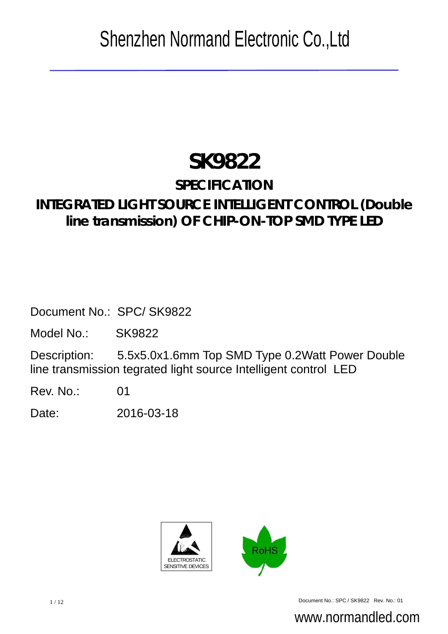# **SK9822**

# **SPECIFICATION**

# **INTEGRATED LIGHT SOURCE INTELLIGENT CONTROL (Double line transmission) OF CHIP-ON-TOP SMD TYPE LED**

Document No.: SPC/ SK9822

Model No.: SK9822

Description: 5.5x5.0x1.6mm Top SMD Type 0.2Watt Power Double line transmission tegrated light source Intelligent control LED

Rev. No.: 01

Date: 2016-03-18





1/12 Document No.: SPC / SK9822 Rev. No.: 01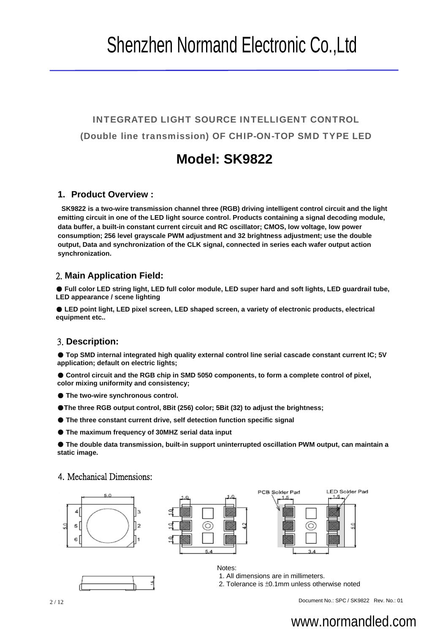INTEGRATED LIGHT SOURCE INTELLIGENT CONTROL (Double line transmission) OF CHIP-ON-TOP SMD TYPE LED

## **Model: SK9822**

### **1. Product Overview :**

**SK9822 is a two-wire transmission channel three (RGB) driving intelligent control circuit and the light emitting circuit in one of the LED light source control. Products containing a signal decoding module, data buffer, a built-in constant current circuit and RC oscillator; CMOS, low voltage, low power consumption; 256 level grayscale PWM adjustment and 32 brightness adjustment; use the double output, Data and synchronization of the CLK signal, connected in series each wafer output action synchronization.**

### 2. **Main Application Field:**

● **Full color LED string light, LED full color module, LED super hard and soft lights, LED guardrail tube, LED appearance / scene lighting**

● LED point light, LED pixel screen, LED shaped screen, a variety of electronic products, electrical **equipment etc..**

#### 3. **Description:**

● **Top SMD internal integrated high quality external control line serial cascade constant current IC; 5V application; default on electric lights;**

● Control circuit and the RGB chip in SMD 5050 components, to form a complete control of pixel, **color mixing uniformity and consistency;**

- **The two-wire synchronous control.**
- ●**The three RGB output control, 8Bit (256) color; 5Bit (32) to adjust the brightness;**
- **The three constant current drive, self detection function specific signal**
- **The maximum frequency of 30MHZ serial data input**

● **The double data transmission, built-in support uninterrupted oscillation PWM output, can maintain a static image.** 

#### 4. Mechanical Dimensions:





Notes:





1. All dimensions are in millimeters.

2. Tolerance is ±0.1mm unless otherwise noted

2/12 Document No.: SPC / SK9822 Rev. No.: 01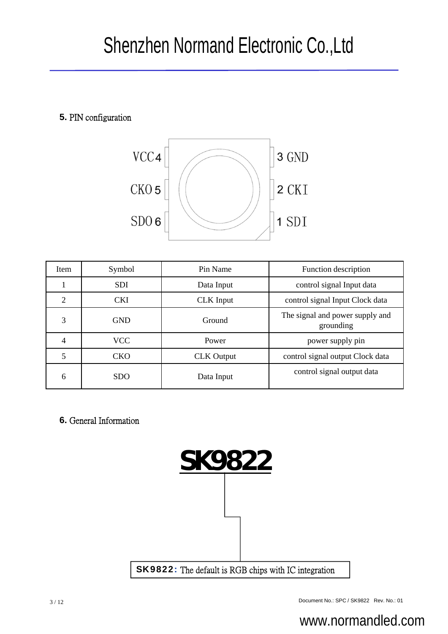### **5.** PIN configuration



| Item           | Symbol     | Pin Name          | Function description                         |
|----------------|------------|-------------------|----------------------------------------------|
|                | <b>SDI</b> | Data Input        | control signal Input data                    |
| 2              | <b>CKI</b> | <b>CLK</b> Input  | control signal Input Clock data              |
| 3              | <b>GND</b> | Ground            | The signal and power supply and<br>grounding |
| $\overline{4}$ | <b>VCC</b> | Power             | power supply pin                             |
| 5              | <b>CKO</b> | <b>CLK</b> Output | control signal output Clock data             |
| 6              | <b>SDO</b> | Data Input        | control signal output data                   |

**6.** General Information

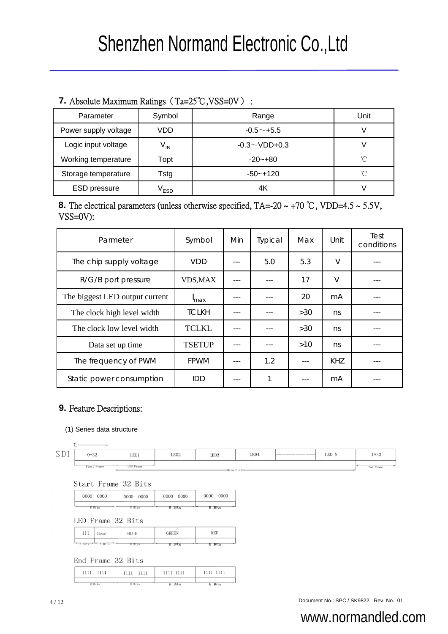### **7.** Absolute Maximum Ratings (Ta=25℃,VSS=0V) :

| Parameter            | Symbol           | Range               | Unit         |
|----------------------|------------------|---------------------|--------------|
| Power supply voltage | VDD              | $-0.5+5.5$          |              |
| Logic input voltage  | $V_{IN}$         | $-0.3 \sim$ VDD+0.3 |              |
| Working temperature  | Topt             | $-20 - +80$         | $^{\circ}$ C |
| Storage temperature  | Tstg             | $-50 - +120$        | °C           |
| <b>ESD</b> pressure  | V <sub>ESD</sub> | 4Κ                  |              |

### **8.** The electrical parameters (unless otherwise specified,  $TA = -20 \sim +70$  °C, VDD=4.5  $\sim$  5.5V, VSS=0V):

| Parmeter                                           | Symbol        | Min | Typical      | Max | Unit   | Test<br>conditions |
|----------------------------------------------------|---------------|-----|--------------|-----|--------|--------------------|
| The chip supply voltage                            | VDD           |     | 5.0          | 5.3 | $\vee$ |                    |
| R/G/B port pressure                                | VDS, MAX      |     |              | 17  | $\vee$ |                    |
| The biggest LED output current<br><sup>I</sup> max |               |     |              | 20  | mA     |                    |
| The clock high level width                         | <b>TCLKH</b>  |     |              | >30 | ns     |                    |
| The clock low level width                          | <b>TCLKL</b>  |     |              | >30 | ns     |                    |
| Data set up time                                   | <b>TSETUP</b> |     |              | >10 | ns     |                    |
| The frequency of PWM                               | <b>FPWM</b>   |     | 1.2          |     | KHZ    |                    |
| Static power consumption<br>IDD                    |               |     | $\mathbf{1}$ |     | mA     |                    |

### **9.** Feature Descriptions:

#### (1) Series data structure

| ٠ | ۰ | ۰ |  |
|---|---|---|--|
|   |   |   |  |

LED1 LED<sub>2</sub> LED<sub>3</sub> LED4 LED N  $1*32$ 0\*32 **Start Frame LED** Fram and Frame

Start Frame 32 Bits

| 0000   | 0000   | 0000   | 0000      |
|--------|--------|--------|-----------|
| 0000   | 0000   | 0000   | 0000      |
| 8 Bits | 8 Bits | ੲ BTts | Bits<br>ਬ |

LED Frame 32 Bits

| 111    | Global | <b>BLUE</b> | <b>GREEN</b> | <b>RED</b>  |
|--------|--------|-------------|--------------|-------------|
| 3 Bits | Rite   | 8 Bits      | Bits<br>8    | : Bits<br>8 |

End Frame 32 Bits

| 1111 1111 | 1111 1111 | 1111 1111 | 1111 1111 |
|-----------|-----------|-----------|-----------|
|           |           |           |           |

A / 12 Document No.: SPC / SK9822 Rev. No.: 01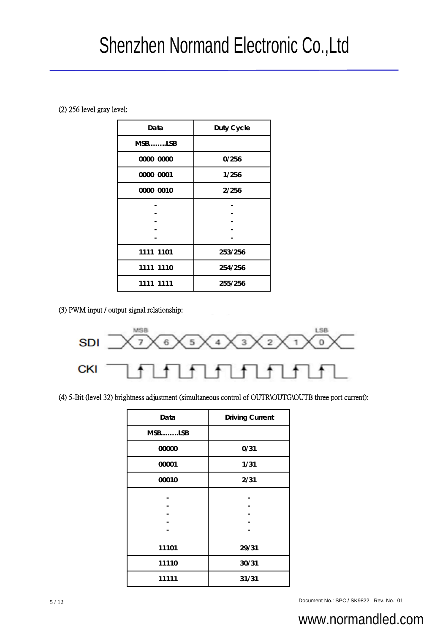(2) 256 level gray level:

| Data      | Duty Cycle |  |
|-----------|------------|--|
| $MSB$ LSB |            |  |
| 0000 0000 | 0/256      |  |
| 0000 0001 | 1/256      |  |
| 0000 0010 | 2/256      |  |
|           |            |  |
|           |            |  |
|           |            |  |
|           |            |  |
| 1111 1101 | 253/256    |  |
| 1111 1110 | 254/256    |  |
| 1111 1111 | 255/256    |  |

(3) PWM input / output signal relationship:



(4) 5-Bit (level 32) brightness adjustment (simultaneous control of OUTR\OUTG\OUTB three port current):

| Data   | <b>Driving Current</b> |
|--------|------------------------|
| MSBLSB |                        |
| 00000  | 0/31                   |
| 00001  | 1/31                   |
| 00010  | 2/31                   |
|        |                        |
|        |                        |
| 11101  | 29/31                  |
| 11110  | 30/31                  |
| 11111  | 31/31                  |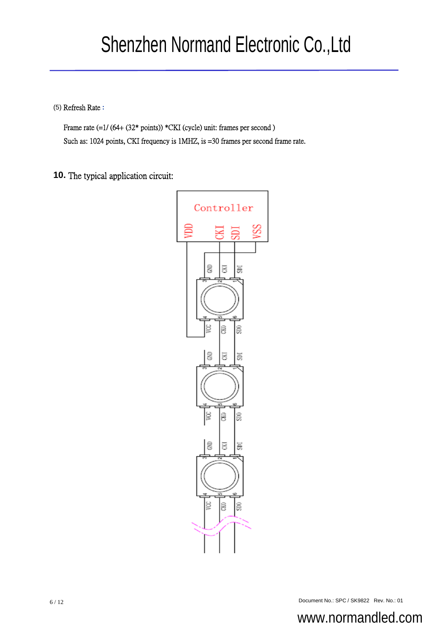(5) Refresh Rate :

Frame rate  $(=1/(64+(32*points))*CKI$  (cycle) unit: frames per second) Such as: 1024 points, CKI frequency is 1MHZ, is =30 frames per second frame rate.

**10.** The typical application circuit:

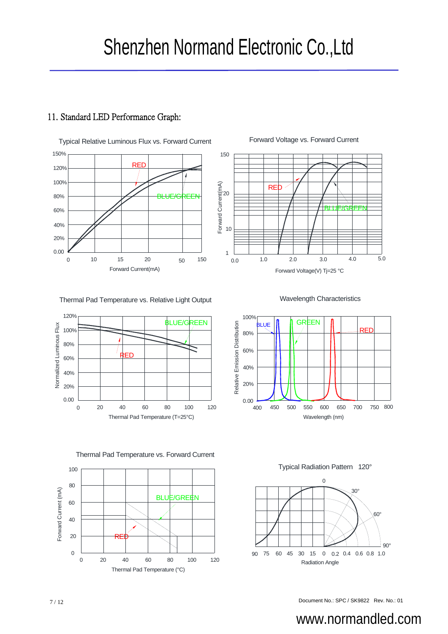### 11. Standard LED Performance Graph:



1.0 2.0 3.0 Forward Voltage(V) Tj=25 °C Forward Current(mA) 4.0 1 10 20 150 5.0 **RE** BLUE/GREEN

Thermal Pad Temperature vs. Relative Light Output



Wavelength Characteristics





 $\mathcal{C}$ Typical Radiation Pattern 120°

![](_page_6_Figure_11.jpeg)

Document No.: SPC / SK9822 Rev. No.: 01 7 / 12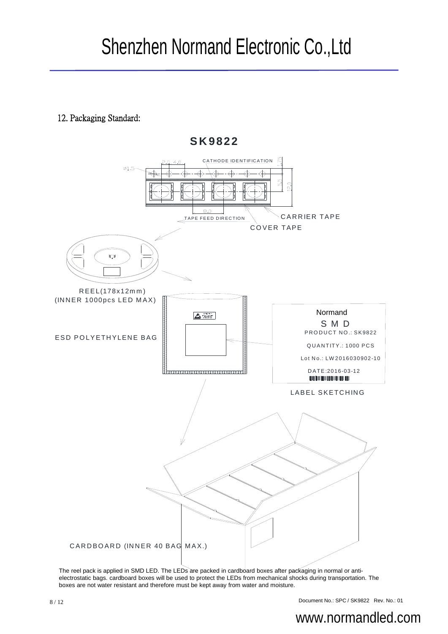**SK9822**

### 12. Packaging Standard:

![](_page_7_Figure_2.jpeg)

The reel pack is applied in SMD LED. The LEDs are packed in cardboard boxes after packaging in normal or antielectrostatic bags. cardboard boxes will be used to protect the LEDs from mechanical shocks during transportation. The boxes are not water resistant and therefore must be kept away from water and moisture.

8 / 12 Document No.: SPC / SK9822 Rev. No.: 01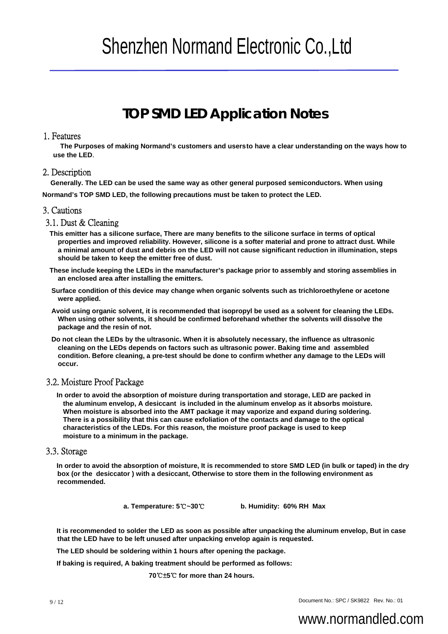## **TOP SMD LED Application Notes**

#### 1. Features

The Purposes of making Normand's customers and usersto have a clear understanding on the ways how to **use the LED**.

#### 2. Description

**Generally. The LED can be used the same way as other general purposed semiconductors. When using Normand's TOP SMD LED, the following precautions must be taken to protect the LED.**

#### 3. Cautions

#### 3.1. Dust & Cleaning

- **This emitter has a silicone surface, There are many benefits to the silicone surface in terms of optical properties and improved reliability. However, silicone is a softer material and prone to attract dust. While a minimal amount of dust and debris on the LED will not cause significant reduction in illumination, steps should be taken to keep the emitter free of dust.**
- **These include keeping the LEDs in the manufacturer's package prior to assembly and storing assemblies in an enclosed area after installing the emitters.**
- **Surface condition of this device may change when organic solvents such as trichloroethylene or acetone were applied.**
- **Avoid using organic solvent, it is recommended that isopropyl be used as a solvent for cleaning the LEDs. When using other solvents, it should be confirmed beforehand whether the solvents will dissolve the package and the resin of not.**
- **Do not clean the LEDs by the ultrasonic. When it is absolutely necessary, the influence as ultrasonic cleaning on the LEDs depends on factors such as ultrasonic power. Baking time and assembled condition. Before cleaning, a pre-test should be done to confirm whether any damage to the LEDs will occur.**

#### 3.2. Moisture Proof Package

**In order to avoid the absorption of moisture during transportation and storage, LED are packed in the aluminum envelop, A desiccant is included in the aluminum envelop as it absorbs moisture. When moisture is absorbed into the AMT package it may vaporize and expand during soldering. There is a possibility that this can cause exfoliation of the contacts and damage to the optical characteristics of the LEDs. For this reason, the moisture proof package is used to keep moisture to a minimum in the package.** 

#### 3.3. Storage

**In order to avoid the absorption of moisture, It is recommended to store SMD LED (in bulk or taped) in the dry box (or the desiccator ) with a desiccant, Otherwise to store them in the following environment as recommended.**

**a. Temperature: 5**℃**~30**℃ **b. Humidity: 60% RH Max**

**It is recommended to solder the LED as soon as possible after unpacking the aluminum envelop, But in case that the LED have to be left unused after unpacking envelop again is requested.**

**The LED should be soldering within 1 hours after opening the package.**

**If baking is required, A baking treatment should be performed as follows:**

**70**℃±**5**℃ **for more than 24 hours.**

9/12 Document No.: SPC / SK9822 Rev. No.: 01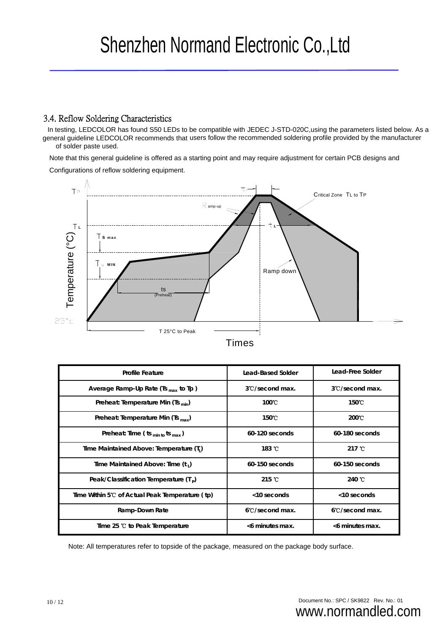### 3.4. Reflow Soldering Characteristics

In testing, LEDCOLOR has found S50 LEDs to be compatible with JEDEC J-STD-020C,using the parameters listed below. As a general guideline LEDCOLOR recommends that users follow the recommended soldering profile provided by the manufacturer of solder paste used.

Note that this general guideline is offered as a starting point and may require adjustment for certain PCB designs and

Configurations of reflow soldering equipment.

![](_page_9_Figure_5.jpeg)

|  | ım |  |
|--|----|--|

| <b>Profile Feature</b>                               | Lead-Based Solder | Lead-Free Solder          |
|------------------------------------------------------|-------------------|---------------------------|
| Average Ramp-Up Rate (Ts $_{max}$ to Tp)             | 3°C/second max.   | 3°C/second max.           |
| Preheat: Temperature Min (Ts <sub>min</sub> )        | 100°C             | 150℃                      |
| Preheat: Temperature Min (Ts $_{max}$ )              | 150 C             | $200^{\circ}$ C           |
| Preheat: Time ( $ts_{min\ to}ts_{max}$ )             | 60-120 seconds    | 60-180 seconds            |
| Time Maintained Above: Temperature (T <sub>1</sub> ) | 183 °C            | 217 $\degree$ C           |
| Time Maintained Above: Time (t,)                     | $60-150$ seconds  | 60-150 seconds            |
| Peak/Classification Temperature $(Tp)$               | 215 $^{\circ}$ C  | 240 °C                    |
| Time Within 5°C of Actual Peak Temperature (tp)      | <10 seconds       | <10 seconds               |
| Ramp-Down Rate                                       | 6 C/second max.   | $6^{\circ}$ C/second max. |
| Time 25 °C to Peak Temperature                       | <6 minutes max.   | <6 minutes max.           |

Note: All temperatures refer to topside of the package, measured on the package body surface.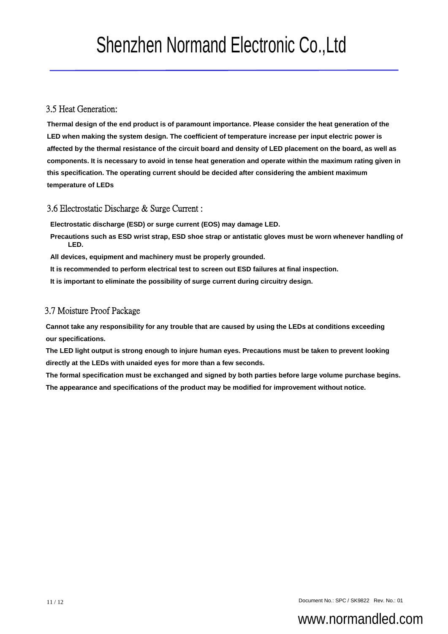#### 3.5 Heat Generation:

**Thermal design of the end product is of paramount importance. Please consider the heat generation of the LED when making the system design. The coefficient of temperature increase per input electric power is affected by the thermal resistance of the circuit board and density of LED placement on the board, as well as components. It is necessary to avoid in tense heat generation and operate within the maximum rating given in this specification. The operating current should be decided after considering the ambient maximum temperature of LEDs** 

#### 3.6 Electrostatic Discharge & Surge Current :

**Electrostatic discharge (ESD) or surge current (EOS) may damage LED.**

- **Precautions such as ESD wrist strap, ESD shoe strap or antistatic gloves must be worn whenever handling of LED.**
- **All devices, equipment and machinery must be properly grounded.**
- **It is recommended to perform electrical test to screen out ESD failures at final inspection.**
- **It is important to eliminate the possibility of surge current during circuitry design.**

#### 3.7 Moisture Proof Package

**Cannot take any responsibility for any trouble that are caused by using the LEDs at conditions exceeding our specifications.** 

**The LED light output is strong enough to injure human eyes. Precautions must be taken to prevent looking directly at the LEDs with unaided eyes for more than a few seconds.**

**The formal specification must be exchanged and signed by both parties before large volume purchase begins. The appearance and specifications of the product may be modified for improvement without notice.**